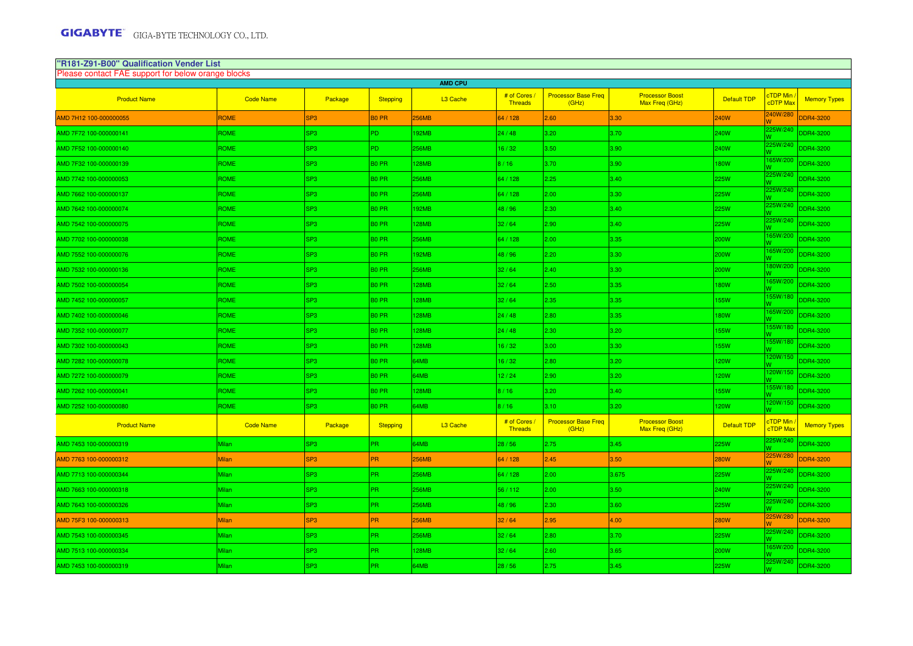| "R181-Z91-B00" Qualification Vender List                             |                  |                 |                   |              |                       |                                     |                                          |                    |                            |                     |  |
|----------------------------------------------------------------------|------------------|-----------------|-------------------|--------------|-----------------------|-------------------------------------|------------------------------------------|--------------------|----------------------------|---------------------|--|
| Please contact FAE support for below orange blocks<br><b>AMD CPU</b> |                  |                 |                   |              |                       |                                     |                                          |                    |                            |                     |  |
| <b>Product Name</b>                                                  | <b>Code Name</b> | Package         | <b>Stepping</b>   | L3 Cache     | # of Cores<br>Threads | <b>Processor Base Freq</b><br>(GHz) | <b>Processor Boost</b><br>Max Freq (GHz) | <b>Default TDP</b> | <b>TDP Min</b><br>cDTP Max | <b>Memory Types</b> |  |
| AMD 7H12 100-000000055                                               | ROME             | SP <sub>3</sub> | <b>BO PR</b>      | 256MB        | 64 / 128              | 2.60                                | 3.30                                     | 240W               | 240W/280                   | DDR4-3200           |  |
| AMD 7F72 100-000000141                                               | ROME             | SP <sub>3</sub> | PD.               | <b>92MB</b>  | 24/48                 | 3.20                                | 3.70                                     | 240W               | 25W/240                    | <b>DDR4-3200</b>    |  |
| AMD 7F52 100-000000140                                               | <b>ROME</b>      | SP <sub>3</sub> | PD.               | 256MB        | 6/32                  | 3.50                                | 3.90                                     | 240W               | 225W/240                   | <b>DDR4-3200</b>    |  |
| AMD 7F32 100-000000139                                               | ROME             | SP <sub>3</sub> | B <sub>0</sub> PR | 128MB        | 8/16                  | 3.70                                | 3.90                                     | <b>180W</b>        | 65W/200                    | DDR4-3200           |  |
| AMD 7742 100-000000053                                               | <b>ROME</b>      | SP3             | B <sub>0</sub> PR | 256MB        | 64 / 128              | 2.25                                | 3.40                                     | <b>225W</b>        | 25W/240                    | DDR4-3200           |  |
| AMD 7662 100-000000137                                               | <b>ROME</b>      | SP <sub>3</sub> | B <sub>0</sub> PR | 256MB        | 64 / 128              | 2.00                                | 3.30                                     | <b>225W</b>        | 225W/240                   | <b>DDR4-3200</b>    |  |
| AMD 7642 100-000000074                                               | <b>ROME</b>      | SP <sub>3</sub> | B <sub>0</sub> PR | 92MB         | 48 / 96               | 2.30                                | 3.40                                     | <b>225W</b>        | 25W/240                    | DDR4-3200           |  |
| AMD 7542 100-000000075                                               | ROME             | SP3             | B <sub>0</sub> PR | 28MB         | 32/64                 | 2.90                                | 3.40                                     | <b>225W</b>        | 25W/240                    | <b>DDR4-3200</b>    |  |
| AMD 7702 100-000000038                                               | ROME             | SP <sub>3</sub> | B <sub>0</sub> PR | 256MB        | 64 / 128              | 2.00                                | 3.35                                     | 200W               | 65W/200                    | <b>DDR4-3200</b>    |  |
| AMD 7552 100-000000076                                               | <b>ROME</b>      | SP <sub>3</sub> | B <sub>0</sub> PR | 192MB        | 48/96                 | 2.20                                | 3.30                                     | <b>200W</b>        | 65W/200<br>W.              | <b>DDR4-3200</b>    |  |
| AMD 7532 100-000000136                                               | <b>ROME</b>      | SP3             | B <sub>0</sub> PR | 256MB        | 32/64                 | 2.40                                | 3.30                                     | 200W               | 180W/200                   | <b>DDR4-3200</b>    |  |
| AMD 7502 100-000000054                                               | <b>ROME</b>      | SP <sub>3</sub> | B <sub>0</sub> PR | 28MB         | 32/64                 | 2.50                                | 3.35                                     | <b>180W</b>        | 165W/200                   | DDR4-3200           |  |
| AMD 7452 100-000000057                                               | <b>ROME</b>      | SP <sub>3</sub> | B <sub>0</sub> PR | 128MB        | 32/64                 | 2.35                                | 3.35                                     | <b>155W</b>        | 55W/180                    | <b>DDR4-3200</b>    |  |
| AMD 7402 100-000000046                                               | <b>ROME</b>      | SP <sub>3</sub> | B <sub>0</sub> PR | 128MB        | 24/48                 | 2.80                                | 3.35                                     | 180W               | 65W/200                    | <b>DDR4-3200</b>    |  |
| AMD 7352 100-000000077                                               | ROME             | SP <sub>3</sub> | B <sub>0</sub> PR | 128MB        | 24/48                 | 2.30                                | 3.20                                     | <b>155W</b>        | 55W/180                    | <b>DDR4-3200</b>    |  |
| AMD 7302 100-000000043                                               | <b>ROME</b>      | SP3             | B <sub>0</sub> PR | 128MB        | 16/32                 | 3.00                                | 3.30                                     | <b>155W</b>        | 155W/180                   | <b>DDR4-3200</b>    |  |
| AMD 7282 100-000000078                                               | <b>ROME</b>      | SP3             | B <sub>0</sub> PR | 64MB         | 16/32                 | 2.80                                | 3.20                                     | <b>120W</b>        | 20W/150                    | <b>DDR4-3200</b>    |  |
| AMD 7272 100-000000079                                               | <b>ROME</b>      | SP <sub>3</sub> | B <sub>0</sub> PR | 64MB         | 12/24                 | 2.90                                | 3.20                                     | <b>120W</b>        | 120W/150                   | DDR4-3200           |  |
| AMD 7262 100-000000041                                               | <b>ROME</b>      | SP3             | B <sub>0</sub> PR | 128MB        | 8/16                  | 3.20                                | 3.40                                     | <b>155W</b>        | 55W/180                    | <b>DDR4-3200</b>    |  |
| AMD 7252 100-000000080                                               | <b>ROME</b>      | SP3             | B <sub>0</sub> PR | 64MB         | 8/16                  | 3.10                                | 3.20                                     | 120W               | 20W/150                    | <b>DDR4-3200</b>    |  |
| <b>Product Name</b>                                                  | <b>Code Name</b> | Package         | <b>Stepping</b>   | L3 Cache     | # of Cores<br>Threads | <b>Processor Base Freq</b><br>(GHz) | <b>Processor Boost</b><br>Max Freq (GHz) | Default TDP        | <b>TDP Min</b><br>cTDP Max | <b>Memory Types</b> |  |
| AMD 7453 100-000000319                                               | Milan            | SP3             | PR.               | 64MB         | 28/56                 | 2.75                                | 3.45                                     | <b>225W</b>        | 25W/240                    | DDR4-3200           |  |
| AMD 7763 100-000000312                                               | Milan            | SP <sub>3</sub> | PR.               | 256MB        | 64 / 128              | 2.45                                | 3.50                                     | <b>280W</b>        | 225W/280                   | DDR4-3200           |  |
| AMD 7713 100-000000344                                               | Milan            | SP <sub>3</sub> | PR.               | 256MB        | 64 / 128              | 2.00                                | 3.675                                    | <b>225W</b>        | 25W/240                    | DDR4-3200           |  |
| AMD 7663 100-000000318                                               | <b>Milan</b>     | SP <sub>3</sub> | PR.               | 256MB        | 56/112                | 2.00                                | 3.50                                     | 240W               | 25W/240                    | <b>DDR4-3200</b>    |  |
| AMD 7643 100-000000326                                               | Milan            | SP <sub>3</sub> | PR.               | 256MB        | 48 / 96               | 2.30                                | 3.60                                     | <b>225W</b>        | 225W/240                   | DDR4-3200           |  |
| AMD 75F3 100-000000313                                               | Milan            | SP <sub>3</sub> | PR.               | <b>256MB</b> | 32/64                 | 2.95                                | 4.00                                     | <b>280W</b>        | 225W/280                   | DDR4-3200           |  |
| AMD 7543 100-000000345                                               | Milan            | SP3             | PR.               | 256MB        | 32/64                 | 2.80                                | 3.70                                     | <b>225W</b>        | 225W/240                   | DDR4-3200           |  |
| AMD 7513 100-000000334                                               | Milan            | SP <sub>3</sub> | PR.               | <b>28MB</b>  | 32/64                 | 2.60                                | 3.65                                     | 200W               | 65W/200                    | DDR4-3200           |  |
| AMD 7453 100-000000319                                               | Milan            | SP <sub>3</sub> | PR.               | 64MB         | 28/56                 | 2.75                                | 3.45                                     | <b>225W</b>        | 25W/240                    | <b>DDR4-3200</b>    |  |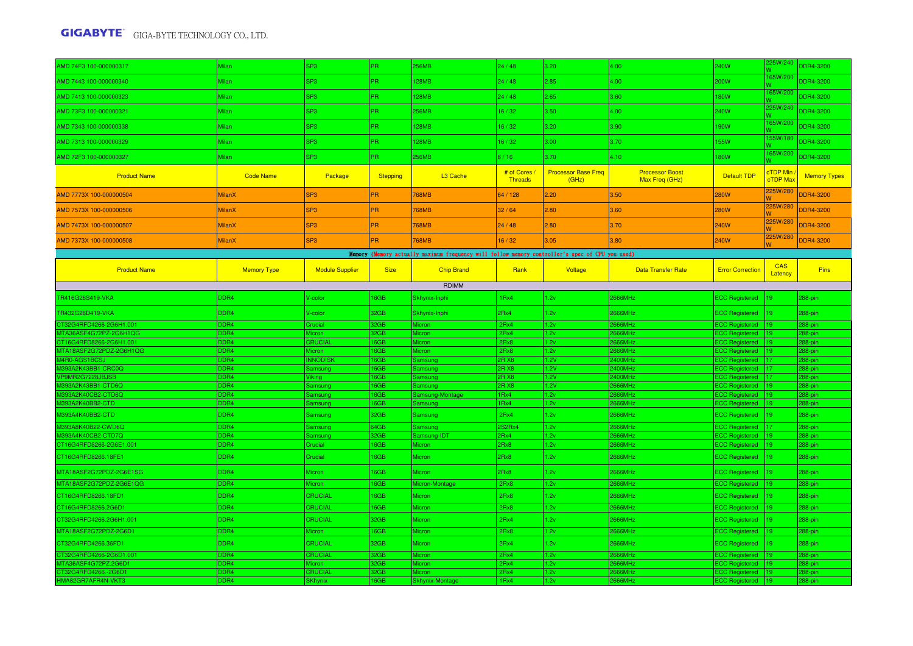| AMD 74F3 100-000000317                  | <b>Milan</b>             | SP3                    | PR.                | <b>256MB</b>                                                                                    | 24/48                        | 3.20                                | 4.00                                     | 240W                                   | 225W/240                    | <b>DDR4-3200</b>    |
|-----------------------------------------|--------------------------|------------------------|--------------------|-------------------------------------------------------------------------------------------------|------------------------------|-------------------------------------|------------------------------------------|----------------------------------------|-----------------------------|---------------------|
| AMD 7443 100-000000340                  | <b>Milan</b>             | SP <sub>3</sub>        | PR.                | <b>128MB</b>                                                                                    | 24/48                        | 2.85                                | 4.00                                     | 200W                                   | 65W/200                     | <b>DDR4-3200</b>    |
| AMD 7413 100-000000323                  | <b>Milan</b>             | SP3                    | PR.                | <b>128MB</b>                                                                                    | 24/48                        | 2.65                                | 3.60                                     | <b>180W</b>                            | 165W/200                    | <b>DDR4-3200</b>    |
| AMD 73F3 100-000000321                  | Milan                    | SP <sub>3</sub>        | PR.                | <b>256MB</b>                                                                                    | 16/32                        | 3.50                                | 4.00                                     | 240W                                   | 225W/240                    | <b>DDR4-3200</b>    |
| AMD 7343 100-000000338                  | <b>Milan</b>             | SP <sub>3</sub>        | PR.                | <b>128MB</b>                                                                                    | 16/32                        | 3.20                                | 3.90                                     | 190W                                   | 165W/200                    | <b>DDR4-3200</b>    |
| AMD 7313 100-000000329                  | <b>Milan</b>             | SP <sub>3</sub>        | PR.                | <b>128MB</b>                                                                                    | 16/32                        | 3.00                                | 3.70                                     | 155W                                   | 55W/180                     | <b>DDR4-3200</b>    |
| AMD 72F3 100-000000327                  | <b>Milan</b>             | SP <sub>3</sub>        | PR.                | <b>256MB</b>                                                                                    | 8/16                         | 3.70                                | 4.10                                     | 180W                                   | 165W/200                    | DDR4-3200           |
| <b>Product Name</b>                     | <b>Code Name</b>         | Package                | <b>Stepping</b>    | L3 Cache                                                                                        | # of Cores<br><b>Threads</b> | <b>Processor Base Freq</b><br>(GHz) | <b>Processor Boost</b><br>Max Freq (GHz) | <b>Default TDP</b>                     | cTDP Min<br><b>cTDP</b> Max | <b>Memory Types</b> |
| AMD 7773X 100-000000504                 | <b>MilanX</b>            | SP <sub>3</sub>        | PR.                | <b>768MB</b>                                                                                    | 64 / 128                     | 2.20                                | 3.50                                     | <b>280W</b>                            | 225W/280                    | DDR4-3200           |
| AMD 7573X 100-000000506                 | MilanX                   | SP <sub>3</sub>        | PR.                | <b>768MB</b>                                                                                    | 32/64                        | 2.80                                | 3.60                                     | <b>280W</b>                            | 225W/280                    | DDR4-3200           |
| AMD 7473X 100-000000507                 | <b>MilanX</b>            | SP <sub>3</sub>        | PR.                | <b>768MB</b>                                                                                    | 24/48                        | 2.80                                | 3.70                                     | 240W                                   | 225W/280                    | DDR4-3200           |
| AMD 7373X 100-000000508                 | MilanX                   | SP <sub>3</sub>        | <b>PR</b>          | 768MB                                                                                           | 16/32                        | 3.05                                | 3.80                                     | 240W                                   | 225W/280                    | DDR4-3200           |
|                                         |                          |                        |                    | Memory (Memory actually maximum frequency will follow memory controller's spec of CPU you used) |                              |                                     |                                          |                                        |                             |                     |
| <b>Product Name</b>                     | <b>Memory Type</b>       | <b>Module Supplier</b> | <b>Size</b>        | <b>Chip Brand</b>                                                                               | Rank                         | Voltage                             | <b>Data Transfer Rate</b>                | <b>Error Correction</b>                | CAS<br>Latency              | Pins                |
|                                         |                          |                        |                    | RDIMM                                                                                           |                              |                                     |                                          |                                        |                             |                     |
| TR416G26S419-VKA                        | DDR4                     | V-color                | 16GB               | Skhynix-Inphi                                                                                   | 1Rx4                         | 1.2v                                | 2666MHz                                  | <b>ECC Registered</b>                  | 19                          | 288-pin             |
| TR432G26D419-VKA                        | DDR4                     | V-color                | 32GB               | Skhynix-Inphi                                                                                   | 2Rx4                         | 1.2v                                | 2666MHz                                  | ECC Registered  19                     |                             | 288-pin             |
| CT32G4RFD4266-2G6H1.001                 | D <sub>R4</sub>          | <b>Crucial</b>         | 32GB               | Micron                                                                                          | 2Rx4                         | 1.2v                                | <b>666MHz</b>                            | <b>ECC Registered</b>                  |                             | 288-pin             |
| ITA36ASF4G72PZ-2G6H1QG                  | DDR <sub>4</sub>         | licron                 | 32GB               | licron                                                                                          | 2Rx4                         | 1.2v                                | 666MHz                                   | <b>ECC Registered</b>                  |                             | 288-pin             |
| CT16G4RFD8266-2G6H1.001                 | <b>DDR4</b>              | CRUCIAL                | 6GB                | Micron                                                                                          | 2Rx8                         | 1.2v                                | 666MHz                                   | <b>ECC Registered</b>                  |                             | 288-pin             |
| /ITA18ASF2G72PDZ-2G6H1QG                | DDR4                     | <b>Micron</b>          | 6GB                | <b>Micron</b>                                                                                   | 2Rx8                         | 1.2v                                | <b>:666MHz</b>                           | ECC Registered   19                    |                             | 288-pin             |
| M4R0-AGS1BCSJ                           | DDR4                     | <b>NNODISK</b>         | 6GB                | Samsung                                                                                         | R X8                         | 1.2V                                | 400MHz                                   | <b>ECC Registered</b>                  |                             | 288-pin             |
| 393A2K43BB1-CRC0Q                       | DDR <sub>4</sub>         | <b>Samsung</b>         | 6GB                | Samsung                                                                                         | RX8                          | 1.2V                                | 400MHz                                   | CC Registered                          |                             | 288-pin             |
| /P9MR2G7228JBJSB                        | <b>DDR4</b>              | /iking                 | 6GB                | Samsung                                                                                         | R X8                         | 1.2V                                | 400MHz                                   | <b>ECC</b> Registered                  |                             | 288-pin             |
| 1393A2K43BB1-CTD6Q<br>393A2K40CB2-CTD6Q | DDR4<br>D <sub>DR4</sub> | Samsung                | <b>6GB</b><br>16GB | Samsung<br>Samsung-Montage                                                                      | R X8<br>Rx4                  | 1.2V<br>1.2v                        | 666MHz<br>666MHz                         | <b>ECC Registered</b><br>CC Registered |                             | 288-pin<br>288-pin  |
| 393A2K40BB2-CTD                         | D <sub>DR4</sub>         | Samsung<br>amsung      | 6GB                | amsung                                                                                          | Rx4                          | 1.2v                                | 666MHz                                   | <b>CC Registered</b>                   |                             | 288-pin             |
|                                         |                          |                        |                    |                                                                                                 |                              |                                     |                                          |                                        |                             |                     |
| M393A4K40BB2-CTD                        | DDR4                     | Samsung                | 32GB               | Samsung                                                                                         | 2Rx4                         | 1.2v                                | 2666MHz                                  | ECC Registered  19                     |                             | 288-pin             |
| 1393A8K40B22-CWD6Q                      | DDR4                     | Samsung                | 64GB               | Samsung                                                                                         | S2Rx4                        | 1.2v                                | 666MHz                                   | <b>ECC Registered</b>                  |                             | 288-pin             |
| <b>M393A4K40CB2-CTD7Q</b>               | DDR4                     | Samsung                | 32GB               | Samsung-IDT                                                                                     | Rx4                          | 1.2v                                | <b>:666MHz</b>                           | <b>ECC Registered</b>                  |                             | 288-pin             |
| CT16G4RFD8266-2G6E1.001                 | DDR4                     | Crucial                | <b>I6GB</b>        | <b>Micron</b>                                                                                   | 2Rx8                         | 1.2v                                | 2666MHz                                  | <b>ECC Registered</b>                  |                             | 288-pin             |
| CT16G4RFD8266.18FE1                     | DDR4                     | Crucial                | 6GB                | Micron                                                                                          | 2Rx8                         | 1.2v                                | 2666MHz                                  | <b>ECC Registered</b>                  |                             | 288-pin             |
| MTA18ASF2G72PDZ-2G6E1SG                 | DDR4                     | Micron                 | 16GB               | Micron                                                                                          | 2Rx8                         | 1.2v                                | 2666MHz                                  | <b>ECC Registered</b>                  | 19                          | 288-pin             |
| MTA18ASF2G72PDZ-2G6E1QG                 | DDR <sub>4</sub>         | Micron                 | <b>6GB</b>         | Micron-Montage                                                                                  | 2Rx8                         | 1.2v                                | 666MHz                                   | <b>ECC Registered</b>                  |                             | 288-pin             |
| CT16G4RFD8266.18FD1                     | DDR4                     | CRUCIAL                | 16GB               | Micron                                                                                          | 2Rx8                         | 1.2v                                | 2666MHz                                  | ECC Registered  19                     |                             | 288-pin             |
| CT16G4RFD8266.2G6D1                     | DDR <sub>4</sub>         | CRUCIAL                | 16GB               | Micron                                                                                          | 2Rx8                         | 1.2v                                | 666MHz                                   | <b>ECC Registered</b>                  |                             | 288-pin             |
| CT32G4RFD4266.2G6H1.001                 | DDR4                     | CRUCIAL                | 32GB               | Micron                                                                                          | 2Rx4                         | 1.2v                                | 2666MHz                                  | ECC Registered  19                     |                             | 288-pin             |
| MTA18ASF2G72PDZ-2G6D1                   | DDR4                     | Micron                 | 16GB               | Micron                                                                                          | 2Rx8                         | 1.2v                                | 2666MHz                                  | ECC Registered   19                    |                             | 288-pin             |
| CT32G4RFD4266.36FD1                     | DDR4                     | CRUCIAL                | 32GB               | Micron                                                                                          | 2Rx4                         | 1.2v                                | 2666MHz                                  | <b>ECC Registered</b>                  | 119                         | 288-pin             |
| T32G4RFD4266-2G6D1.001                  | DDR <sub>4</sub>         | CRUCIAL                | 2GB                | <b>Aicron</b>                                                                                   | 2Rx4                         | 1.2v                                | 666MHz                                   | <b>ECC Registered</b>                  |                             | 88-pin              |
| <b>ITA36ASF4G72PZ.2G6D</b>              | DDR <sub>4</sub>         | <i>Aicron</i>          | 2GB                | Micron                                                                                          | 2Rx4                         | 1.2v                                | 666MHz                                   | ECC Registered   19                    |                             | 88-pin              |
| CT32G4RFD4266.-2G6D1                    | DDR4                     | CRUCIAL                | 32GB               | <b>Micron</b>                                                                                   | 2Rx4                         | 1.2v                                | 666MHz                                   | <b>ECC Registered</b>                  |                             | 288-pin             |
| HMA82GR7AFR4N-VKT3                      | DDR4                     | <b>SKhynix</b>         | 16GB               | <b>Skhynix-Montage</b>                                                                          | 1Rx4                         | 1.2v                                | 666MHz                                   | ECC Registered  19                     |                             | 288-pin             |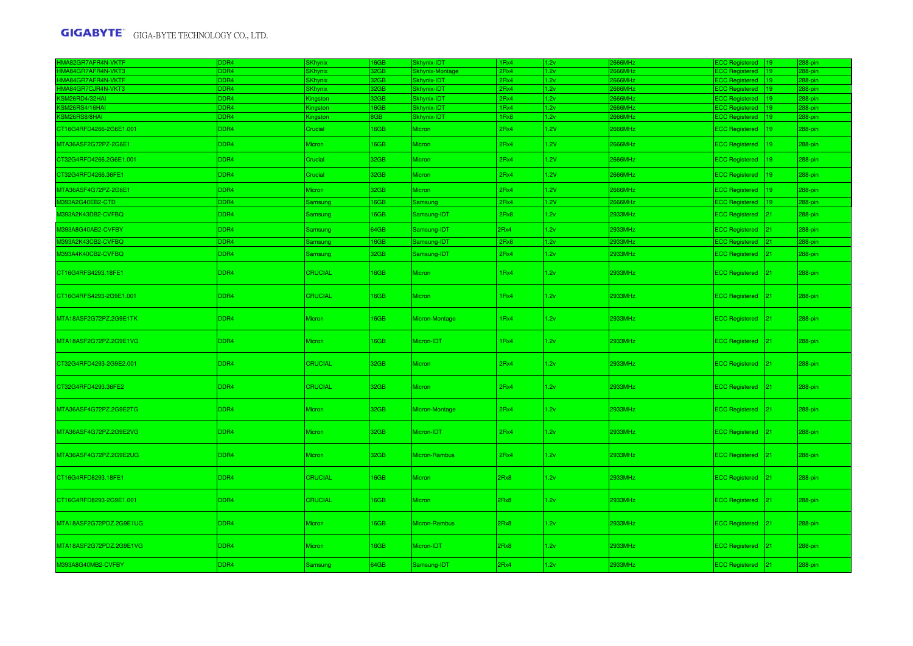| HMA82GR7AFR4N-VKTF        | DDR4             | <b>SKhynix</b>  | 16GB        | Skhynix-IDT     | 1Rx4         | 1.2v         | 666MHz             | ECC Registered 19   | 288-pin |
|---------------------------|------------------|-----------------|-------------|-----------------|--------------|--------------|--------------------|---------------------|---------|
| HMA84GR7AFR4N-VKT3        | DDR4             | <b>SKhynix</b>  | 2GB         | Skhynix-Montage | 2Rx4         | 1.2v         | 66MHz              | ECC Registered   19 | 288-pin |
| <b>IMA84GR7AFR4N-VKTF</b> | DDR4             | SKhynix         | 32GB        | Skhynix-IDT     | 2Rx4         | 1.2v         | 666MHz             | ECC Registered   19 | 288-pin |
| HMA84GR7CJR4N-VKT3        | DDR <sub>4</sub> | <b>SKhynix</b>  | 32GB        | Skhynix-IDT     | 2Rx4         | 1.2v         | 2666MHz            | ECC Registered  19  | 288-pin |
| KSM26RD4/32HAI            | DDR4             | Kingston        | 32GB        | Skhynix-IDT     | 2Rx4         | 1.2v         | 2666MHz            | ECC Registered  19  | 288-pin |
| KSM26RS4/16HAI            | DDR4<br>DDR4     | <b>Kingston</b> | 16GB<br>8GB | Skhynix-IDT     | 1Rx4<br>1Rx8 | 1.2v<br>1.2v | 2666MHz<br>2666MHz | ECC Registered   19 | 288-pin |
| KSM26RS8/8HAI             |                  | Kingston        |             | Skhynix-IDT     |              |              |                    | ECC Registered  19  | 288-pin |
| CT16G4RFD4266-2G6E1.001   | DDR4             | Crucial         | 16GB        | Micron          | 2Rx4         | 1.2V         | 2666MHz            | ECC Registered  19  | 288-pin |
| MTA36ASF2G72PZ-2G6E1      | DDR4             | Micron          | 16GB        | Micron          | 2Rx4         | 1.2V         | 2666MHz            | ECC Registered  19  | 288-pin |
| CT32G4RFD4266.2G6E1.001   | DDR4             | Crucial         | 32GB        | Micron          | 2Rx4         | 1.2V         | 2666MHz            | ECC Registered  19  | 288-pin |
| CT32G4RFD4266.36FE1       | DDR4             | Crucial         | 32GB        | <b>Micron</b>   | 2Rx4         | 1.2V         | 2666MHz            | ECC Registered  19  | 288-pin |
| MTA36ASF4G72PZ-2G6E1      | DDR4             | Micron          | 32GB        | Micron          | 2Rx4         | 1.2V         | <b>2666MHz</b>     | ECC Registered  19  | 288-pin |
| M393A2G40EB2-CTD          | DDR4             | Samsung         | 16GB        | Samsung         | 2Rx4         | 1.2V         | 2666MHz            | ECC Registered  19  | 288-pin |
| M393A2K43DB2-CVFBQ        | DDR4             | Samsung         | 16GB        | Samsung-IDT     | 2Rx8         | 1.2v         | 2933MHz            | ECC Registered 21   | 288-pin |
| M393A8G40AB2-CVFBY        | DDR4             | Samsung         | 64GB        | Samsung-IDT     | 2Rx4         | 1.2v         | 2933MHz            | ECC Registered 21   | 288-pin |
| M393A2K43CB2-CVFBQ        | DDR4             | Samsung         | 16GB        | Samsung-IDT     | 2Rx8         | 1.2v         | 2933MHz            | ECC Registered 21   | 288-pin |
| M393A4K40CB2-CVFBQ        | DDR4             | Samsung         | 32GB        | Samsung-IDT     | 2Rx4         | 1.2v         | 2933MHz            | ECC Registered 21   | 288-pin |
|                           |                  |                 |             |                 |              |              |                    |                     |         |
| CT16G4RFS4293.18FE1       | DDR4             | <b>CRUCIAL</b>  | 16GB        | <b>Micron</b>   | 1Rx4         | 1.2v         | 2933MHz            | ECC Registered 21   | 288-pin |
| CT16G4RFS4293-2G9E1.001   | DDR4             | <b>CRUCIAL</b>  | 16GB        | Micron          | 1Rx4         | 1.2v         | 2933MHz            | ECC Registered 21   | 288-pin |
| MTA18ASF2G72PZ.2G9E1TK    | DDR4             | Micron          | 16GB        | Micron-Montage  | 1Rx4         | 1.2v         | 2933MHz            | ECC Registered 21   | 288-pin |
| MTA18ASF2G72PZ.2G9E1VG    | DDR4             | Micron          | 16GB        | Micron-IDT      | 1Rx4         | 1.2v         | 2933MHz            | ECC Registered 21   | 288-pin |
| CT32G4RFD4293-2G9E2.001   | DDR4             | <b>CRUCIAL</b>  | 32GB        | <b>Micron</b>   | 2Rx4         | 1.2v         | 2933MHz            | ECC Registered 21   | 288-pin |
| CT32G4RFD4293.36FE2       | DDR4             | <b>CRUCIAL</b>  | 32GB        | Micron          | 2Rx4         | 1.2v         | 2933MHz            | ECC Registered 21   | 288-pin |
| MTA36ASF4G72PZ.2G9E2TG    | DDR4             | Micron          | 32GB        | Micron-Montage  | 2Rx4         | 1.2v         | 2933MHz            | ECC Registered 21   | 288-pin |
| MTA36ASF4G72PZ.2G9E2VG    | DDR4             | <b>Micron</b>   | 32GB        | Micron-IDT      | 2Rx4         | 1.2v         | 2933MHz            | ECC Registered 21   | 288-pin |
| MTA36ASF4G72PZ.2G9E2UG    | DDR4             | Micron          | 32GB        | Micron-Rambus   | 2Rx4         | 1.2v         | 2933MHz            | ECC Registered 21   | 288-pin |
| CT16G4RFD8293.18FE1       | DDR4             | <b>CRUCIAL</b>  | 16GB        | <b>Micron</b>   | 2Rx8         | 1.2v         | 2933MHz            | ECC Registered  21  | 288-pin |
| CT16G4RFD8293-2G9E1.001   | DDR4             | <b>CRUCIAL</b>  | 16GB        | Micron          | 2Rx8         | 1.2v         | 2933MHz            | ECC Registered 21   | 288-pin |
| MTA18ASF2G72PDZ.2G9E1UG   | DDR4             | Micron          | 16GB        | Micron-Rambus   | 2Rx8         | 1.2v         | 2933MHz            | ECC Registered 21   | 288-pin |
| MTA18ASF2G72PDZ.2G9E1VG   | DDR4             | Micron          | 16GB        | Micron-IDT      | 2Rx8         | 1.2v         | 2933MHz            | ECC Registered 21   | 288-pin |
| M393A8G40MB2-CVFBY        | DDR4             | Samsung         | 64GB        | Samsung-IDT     | 2Rx4         | 1.2v         | 2933MHz            | ECC Registered 21   | 288-pin |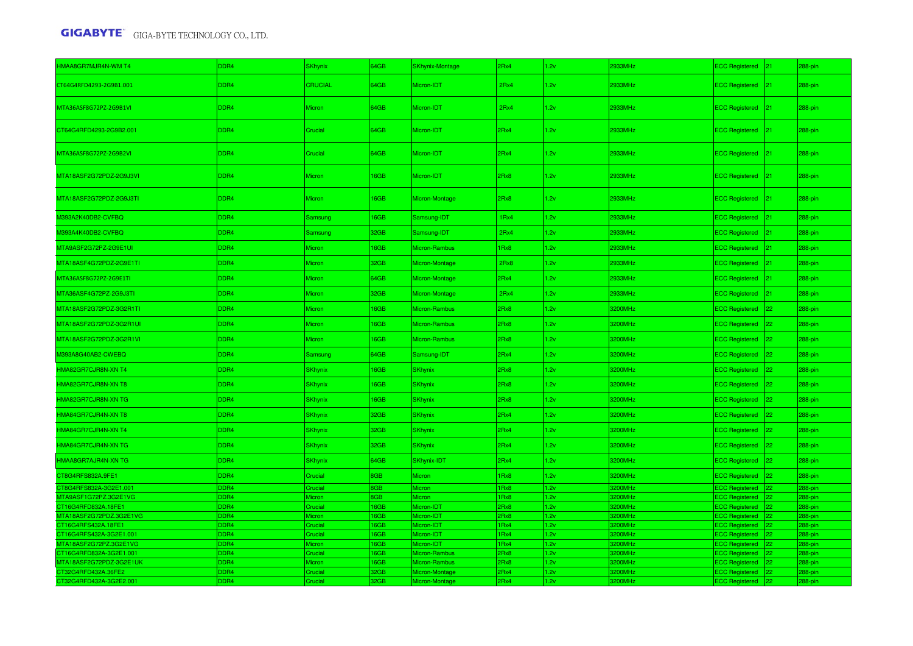| HMAA8GR7MJR4N-WM T4                             | DDR4         | <b>SKhynix</b>       | 64GB              | <b>SKhynix-Montage</b> | 2Rx4         | 1.2v         | 2933MHz            | <b>ECC Registered</b>                      |                 | 288-pin            |
|-------------------------------------------------|--------------|----------------------|-------------------|------------------------|--------------|--------------|--------------------|--------------------------------------------|-----------------|--------------------|
| CT64G4RFD4293-2G9B1.001                         | DDR4         | CRUCIAL              | 64GB              | Micron-IDT             | 2Rx4         | 1.2v         | 2933MHz            | <b>ECC Registered</b>                      | $ 21\rangle$    | 288-pin            |
| MTA36ASF8G72PZ-2G9B1VI                          | DDR4         | Micron               | 64GB              | Micron-IDT             | 2Rx4         | 1.2v         | 2933MHz            | <b>ECC Registered</b>                      | $ 21\rangle$    | 288-pin            |
| CT64G4RFD4293-2G9B2.001                         | DDR4         | Crucial              | 64GB              | Micron-IDT             | 2Rx4         | 1.2v         | 2933MHz            | ECC Registered 21                          |                 | 288-pin            |
| MTA36ASF8G72PZ-2G9B2VI                          | DDR4         | Crucial              | 64GB              | Micron-IDT             | 2Rx4         | 1.2v         | 2933MHz            | <b>ECC Registered</b>                      | $ 21\rangle$    | 288-pin            |
| MTA18ASF2G72PDZ-2G9J3VI                         | DDR4         | <b>Micron</b>        | 16GB              | Micron-IDT             | 2Rx8         | 1.2v         | 2933MHz            | <b>ECC Registered</b>                      | $ 21\rangle$    | 288-pin            |
| MTA18ASF2G72PDZ-2G9J3TI                         | DDR4         | Micron               | 16GB              | Micron-Montage         | 2Rx8         | 1.2v         | 2933MHz            | <b>ECC Registered</b>                      | $ 21\rangle$    | 288-pin            |
| M393A2K40DB2-CVFBQ                              | DDR4         | Samsung              | 16GB              | Samsung-IDT            | 1Rx4         | 1.2v         | 2933MHz            | <b>ECC Registered</b>                      | $21 -$          | 288-pin            |
| M393A4K40DB2-CVFBQ                              | DDR4         | Samsung              | 32GB              | Samsung-IDT            | 2Rx4         | 1.2v         | 2933MHz            | <b>ECC Registered</b>                      | 21              | 288-pin            |
| MTA9ASF2G72PZ-2G9E1UI                           | DDR4         | Micron               | 16GB              | Micron-Rambus          | 1Rx8         | 1.2v         | 2933MHz            | <b>ECC Registered</b>                      |                 | 288-pin            |
| MTA18ASF4G72PDZ-2G9E1TI                         | DDR4         | Micron               | 32GB              | Micron-Montage         | 2Rx8         | 1.2v         | 2933MHz            | <b>ECC Registered</b>                      | 21              | 288-pin            |
| MTA36ASF8G72PZ-2G9E1TI                          | DDR4         | Micron               | 64GB              | Micron-Montage         | 2Rx4         | 1.2v         | 2933MHz            | <b>ECC Registered</b>                      | 21              | 288-pin            |
| MTA36ASF4G72PZ-2G9J3TI                          | DDR4         | Micron               | 32GB              | Micron-Montage         | 2Rx4         | 1.2v         | 2933MHz            | <b>ECC Registered</b>                      | $21 -$          | 288-pin            |
| MTA18ASF2G72PDZ-3G2R1TI                         | DDR4         | <i><b>Aicron</b></i> | <b>I6GB</b>       | Micron-Rambus          | 2Rx8         | 1.2v         | 3200MHz            | <b>ECC Registered</b>                      | 22 <sub>1</sub> | 288-pin            |
| MTA18ASF2G72PDZ-3G2R1UI                         | DDR4         | Micron               | 16GB              | Micron-Rambus          | 2Rx8         | 1.2v         | 3200MHz            | <b>ECC Registered</b>                      | 22 <sub>2</sub> | 288-pin            |
| MTA18ASF2G72PDZ-3G2R1VI                         | DDR4         | Micron               | 16GB              | Micron-Rambus          | 2Rx8         | 1.2v         | 3200MHz            | <b>ECC Registered</b>                      | 22              | 288-pin            |
| M393A8G40AB2-CWEBQ                              | DDR4         | Samsung              | 64GB              | Samsung-IDT            | 2Rx4         | 1.2v         | 3200MHz            | <b>ECC Registered</b>                      | $22 -$          | 288-pin            |
| HMA82GR7CJR8N-XN T4                             | DDR4         | <b>SKhynix</b>       | 16GB              | <b>SKhynix</b>         | 2Rx8         | 1.2v         | 3200MHz            | <b>ECC Registered</b>                      | 22              | 288-pin            |
| HMA82GR7CJR8N-XN T8                             | DDR4         | <b>SKhynix</b>       | 16GB              | <b>SKhynix</b>         | 2Rx8         | 1.2v         | 3200MHz            | ECC Registered                             | $ 22\rangle$    | 288-pin            |
| HMA82GR7CJR8N-XN TG                             | DDR4         | <b>SKhynix</b>       | <b>I</b> 6GB      | <b>SKhynix</b>         | 2Rx8         | 1.2v         | 3200MHz            | <b>ECC Registered</b>                      | 22 <sub>1</sub> | 288-pin            |
| HMA84GR7CJR4N-XN T8                             | DDR4         | <b>SKhynix</b>       | 32GB              | <b>SKhynix</b>         | 2Rx4         | 1.2v         | 3200MHz            | <b>ECC Registered</b>                      | 22 <sub>1</sub> | 288-pin            |
| HMA84GR7CJR4N-XN T4                             | DDR4         | SKhynix              | 32GB              | <b>SKhynix</b>         | 2Rx4         | 1.2v         | 3200MHz            | <b>ECC Registered</b>                      | 22 <sub>2</sub> | 288-pin            |
| HMA84GR7CJR4N-XN TG                             | DDR4         | <b>SKhynix</b>       | 32GB              | <b>SKhynix</b>         | 2Rx4         | 1.2v         | 3200MHz            | <b>ECC Registered</b>                      | 22              | 288-pin            |
| HMAA8GR7AJR4N-XN TG                             | DDR4         | <b>SKhynix</b>       | 64GB              | SKhynix-IDT            | 2Rx4         | 1.2v         | 3200MHz            | <b>ECC Registered</b>                      | $22 -$          | 288-pin            |
| CT8G4RFS832A.9FE1                               | DDR4         | Crucial              | 8GB               | Micron                 | 1Rx8         | 1.2v         | 3200MHz            | <b>ECC Registered</b>                      | 22              | 288-pin            |
|                                                 |              |                      |                   |                        |              |              |                    |                                            |                 |                    |
| CT8G4RFS832A-3G2E1.001<br>MTA9ASF1G72PZ.3G2E1VG | DDR4<br>DDR4 | Crucial<br>Micron    | <b>BGB</b><br>3GB | Micron<br>Micron       | 1Rx8<br>1Rx8 | 1.2v<br>1.2v | 3200MHz<br>3200MHz | <b>ECC Registered</b>                      | $22 -$          | 288-pin            |
| CT16G4RFD832A.18FE1                             | DDR4         | Crucial              | 16GB              | Micron-IDT             | 2Rx8         | 1.2v         | 3200MHz            | <b>ECC Registered</b><br>ECC Registered 22 |                 | 288-pin<br>288-pin |
| MTA18ASF2G72PDZ.3G2E1VG                         | DDR4         | <i><b>Aicron</b></i> | <b>6GB</b>        | Micron-IDT             | 2Rx8         | 1.2v         | 3200MHz            | <b>ECC Registered</b>                      | $22 -$          | 288-pin            |
| CT16G4RFS432A.18FE1                             | DDR4         | Crucial              | 16GB              | Micron-IDT             | 1Rx4         | 1.2v         | 3200MHz            | <b>ECC Registered</b>                      | $22 -$          | 288-pin            |
| CT16G4RFS432A-3G2E1.001                         | DDR4         | Crucial              | 16GB              | Micron-IDT             | 1Rx4         | 1.2v         | 3200MHz            | ECC Registered                             | 22.             | 288-pin            |
| MTA18ASF2G72PZ.3G2E1VG                          | DDR4         | <b>Micron</b>        | <b>6GB</b>        | Micron-IDT             | 1Rx4         | 1.2v         | 3200MHz            | <b>ECC Registered</b>                      | 22.             | 288-pin            |
| CT16G4RFD832A-3G2E1.001                         | DDR4         | Crucial              | <b>6GB</b>        | Micron-Rambus          | 2Rx8         | 1.2v         | 3200MHz            | <b>ECC Registered</b>                      | $22 -$          | 288-pin            |
| MTA18ASF2G72PDZ-3G2E1UK                         | <b>DDR4</b>  | <i><b>Aicron</b></i> | 6GB               | Micron-Rambus          | 2Rx8         | 1.2v         | 3200MHz            | <b>ECC Registered</b>                      |                 | 288-pin            |
| CT32G4RFD432A.36FE2                             | DDR4         | Crucial              | 32GB              | Micron-Montage         | 2Rx4         | 1.2v         | 3200MHz            | <b>ECC Registered</b>                      | 22.             | 288-pin            |
| CT32G4RFD432A-3G2E2.001                         | DR4          | Crucial              | 2GB               | Micron-Montage         | 2Rx4         | 1.2v         | 3200MHz            | <b>ECC Registered</b>                      |                 | 288-pin            |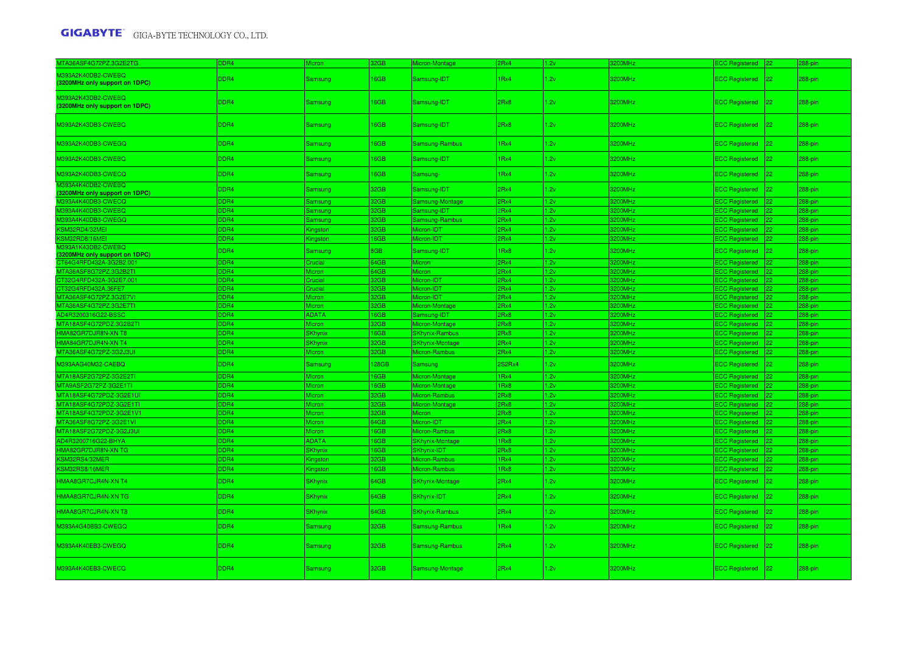| MTA36ASF4G72PZ.3G2E2TG                               | DDR4             | <i>Aicron</i>   | 32GB       | <b>Micron-Montage</b>  | 2Rx4   | 1.2v | 200MHz  | <b>CC Registered</b>  |              | 288-pin     |
|------------------------------------------------------|------------------|-----------------|------------|------------------------|--------|------|---------|-----------------------|--------------|-------------|
| M393A2K40DB2-CWEBQ<br>(3200MHz only support on 1DPC) | DDR4             | Samsung         | 16GB       | Samsung-IDT            | 1Rx4   | 1.2v | 3200MHz | ECC Registered 22     |              | 288-pin     |
| M393A2K43DB2-CWEBQ<br>(3200MHz only support on 1DPC) | DDR4             | Samsung         | 16GB       | Samsung-IDT            | 2Rx8   | 1.2v | 3200MHz | ECC Registered 22     |              | 288-pin     |
| M393A2K43DB3-CWEBQ                                   | DDR4             | Samsung         | 16GB       | Samsung-IDT            | 2Rx8   | 1.2v | 3200MHz | ECC Registered   22   |              | 288-pin     |
| M393A2K40DB3-CWEGQ                                   | DDR4             | Samsung         | 6GB        | Samsung-Rambus         | 1Rx4   | 1.2v | 3200MHz | <b>ECC Registered</b> | $ 22\rangle$ | 288-pin     |
| M393A2K40DB3-CWEBQ                                   | DDR4             | Samsung         | 6GB        | Samsung-IDT            | IRx4   | 1.2v | 3200MHz | <b>ECC Registered</b> | $ 22\rangle$ | 288-pin     |
| M393A2K40DB3-CWECQ                                   | DDR4             | Samsung         | 6GB        | Samsung-               | IRx4   | 1.2v | 3200MHz | <b>ECC Registered</b> | $ 22\rangle$ | 288-pin     |
| M393A4K40DB2-CWEBQ<br>(3200MHz only support on 1DPC) | DDR4             | <b>Samsung</b>  | 32GB       | Samsung-IDT            | 2Rx4   | 1.2v | 3200MHz | <b>ECC Registered</b> | $ 22\rangle$ | 288-pin     |
| M393A4K40DB3-CWECQ                                   | DDR4             | Samsung         | 32GB       | Samsung-Montage        | 2Rx4   | 1.2v | 3200MHz | ECC Registered 22     |              | 288-pin     |
| 4393A4K40DB3-CWEBQ                                   | DDR <sub>4</sub> | Samsung         | 32GB       | Samsung-IDT            | 2Rx4   | 1.2v | 200MHz  | <b>CC Registered</b>  |              | 288-pin     |
| 4393A4K40DB3-CWEGQ                                   | DDR4             | Samsung         | 32GB       | Samsung-Rambus         | 2Rx4   | 1.2v | 200MHz  | <b>ECC Registered</b> |              | 288-pin     |
| <b>KSM32RD4/32MEI</b>                                | DDR4             | Kingston        | 32GB       | Micron-IDT             | 2Rx4   | 1.2v | 200MHz  | ECC Registered 22     |              | 288-pin     |
| SM32RD8/16MEI                                        | DDR4             | Kingston        | 6GB        | Micron-IDT             | 2Rx4   | 1.2v | 3200MHz | <b>ECC Registered</b> |              | 288-pin     |
| M393A1K43DB2-CWEBQ<br>(3200MHz only support on 1DPC) | DDR4             | Samsung         | <b>BGB</b> | Samsung-IDT            | 1Rx8   | 1.2v | 3200MHz | ECC Registered 22     |              | 288-pin     |
| CT64G4RFD432A-3G2B2.001                              | DDR4             | Crucial         | 64GB       | Micron                 | 2Rx4   | 1.2v | 200MHz  | <b>ECC Registered</b> |              | 288-pin     |
| MTA36ASF8G72PZ.3G2B2TI                               | DDR4             | Micron          | 64GB       | <b>Micron</b>          | 2Rx4   | 1.2v | 200MHz  | <b>ECC Registered</b> |              | 288-pin     |
| T32G4RFD432A-3G2E7.001                               | DDR <sub>4</sub> | rucial          | 2GB        | Micron-IDT             | 2Rx4   | 1.2v | 200MHz  | CC Registered         |              | 288-pin     |
| T32G4RFD432A.36FE7                                   | D <sub>DR4</sub> | <b>Crucial</b>  | 2GB        | Micron-IDT             | 2Rx4   | 1.2v | 200MHz  | <b>ECC</b> Registered |              | 88-pin      |
| TA36ASF4G72PZ.3G2E7VI                                | DDR <sub>4</sub> | Micron          | 2GB        | Micron-IDT             | 2Rx4   | 1.2v | 200MHz  | <b>ECC Registered</b> |              | 88-pin      |
| TA36ASF4G72PZ.3G2E7TI                                | DDR4             | Micron          | 2GB        | Micron-Montage         | 2Rx4   | 1.2v | 200MHz  | ECC Registered        |              | 288-pin     |
| AD4R3200316G22-BSSC                                  | DDR4             | <b>ADATA</b>    | 6GB        | Samsung-IDT            | 2Rx8   | 1.2v | 200MHz  | <b>ECC Registered</b> |              | 288-pin     |
| MTA18ASF4G72PDZ.3G2B2TI                              | DDR4             | Micron          | 32GB       | Micron-Montage         | 2Rx8   | 1.2v | 200MHz  | <b>ECC Registered</b> |              | 288-pin     |
| <b>IMA82GR7DJR8N-XN T8</b>                           | DDR4             | SKhynix         | 6GB        | <b>SKhynix-Rambus</b>  | 2Rx8   | 1.2v | 200MHz  | ECC Registered 22     |              | 288-pin     |
| IMA84GR7DJR4N-XN T4                                  | DDR4             | <b>SKhynix</b>  | 32GB       | SKhynix-Montage        | 2Rx4   | 1.2v | 200MHz  | <b>ECC Registered</b> |              | 288-pin     |
| MTA36ASF4G72PZ-3G2J3UI                               | DDR4             | Micron          | 32GB       | Micron-Rambus          | 2Rx4   | 1.2v | 200MHz  | <b>ECC Registered</b> |              | 288-pin     |
| M393AAG40M32-CAEBQ                                   | DDR4             | Samsung         | 128GB      | Samsung                | 2S2Rx4 | 1.2v | 3200MHz | ECC Registered 22     |              | 288-pin     |
| MTA18ASF2G72PZ-3G2E2TI                               | DDR <sub>4</sub> | Micron          | 6GB        | Micron-Montage         | 1Rx4   | 1.2v | 3200MHz | ECC Registered 22     |              | $288 - pin$ |
| //TA9ASF2G72PZ-3G2E1TI                               | DDR <sub>4</sub> | Micron          | 6GB        | Micron-Montage         | IRx8   | 1.2v | 200MHz  | ECC Registered        |              | 288-pin     |
| MTA18ASF4G72PDZ-3G2E1UI                              | DDR4             | Micron          | 32GB       | Micron-Rambus          | 2Rx8   | 1.2v | 200MHz  | <b>ECC Registered</b> |              | 288-pin     |
| MTA18ASF4G72PDZ-3G2E1TI                              | DDR4             | <b>Micron</b>   | 32GB       | Micron-Montage         | 2Rx8   | 1.2v | 200MHz  | <b>ECC Registered</b> |              | 288-pin     |
| MTA18ASF4G72PDZ-3G2E1V1                              | DDR <sub>4</sub> | Micron          | 32GB       | Micron                 | 2Rx8   | 1.2v | 3200MHz | <b>ECC Registered</b> |              | 288-pin     |
| MTA36ASF8G72PZ-3G2E1VI                               | DDR4             | Micron          | 34GB       | Micron-IDT             | 2Rx4   | 1.2v | 200MHz  | <b>ECC Registered</b> |              | 288-pin     |
| MTA18ASF2G72PDZ-3G2J3UI                              | DDR4             |                 | 6GB        |                        | 2Rx8   | 1.2v | 200MHz  |                       |              |             |
|                                                      | DDR4             | Micron<br>ADATA | 6GB        | Micron-Rambus          | IRx8   | 1.2v | 200MHz  | ECC Registered 22     |              | 288-pin     |
| D4R3200716G22-BHYA                                   |                  |                 |            | SKhynix-Montage        |        |      |         | <b>ECC Registered</b> |              | 288-pin     |
| HMA82GR7DJR8N-XN TG                                  | DDR4             | SKhynix         | 6GB        | <b>SKhynix-IDT</b>     | 2Rx8   | 1.2v | 200MHz  | <b>ECC Registered</b> |              | 288-pin     |
| <b>KSM32RS4/32MER</b>                                | DDR4             | Kingston        | 32GB       | Micron-Rambus          | 1Rx4   | 1.2v | 200MHz  | ECC Registered 22     |              | 288-pin     |
| <b>SM32RS8/16MER</b>                                 | DDR4             | Kingston        | 6GB        | Micron-Rambus          | IRx8   | 1.2v | 3200MHz | <b>ECC Registered</b> |              | 288-pin     |
| HMAA8GR7CJR4N-XN T4                                  | DDR4             | <b>SKhynix</b>  | 64GB       | <b>SKhynix-Montage</b> | 2Rx4   | 1.2v | 3200MHz | ECC Registered 22     |              | 288-pin     |
| HMAA8GR7CJR4N-XN TG                                  | DDR4             | <b>SKhynix</b>  | 64GB       | SKhynix-IDT            | 2Rx4   | 1.2v | 3200MHz | <b>ECC Registered</b> | $ 22\rangle$ | 288-pin     |
| HMAA8GR7CJR4N-XN T8                                  | DDR4             | <b>SKhynix</b>  | 64GB       | <b>SKhynix-Rambus</b>  | 2Rx4   | 1.2v | 3200MHz | <b>ECC Registered</b> | $ 22\rangle$ | 288-pin     |
| V393A4G40BB3-CWEGQ                                   | DDR4             | Samsung         | 32GB       | Samsung-Rambus         | IRx4   | 1.2v | 3200MHz | ECC Registered 22     |              | 288-pin     |
| M393A4K40EB3-CWEGQ                                   | DDR4             | Samsung         | 32GB       | Samsung-Rambus         | 2Rx4   | 1.2v | 3200MHz | ECC Registered 22     |              | 288-pin     |
| M393A4K40EB3-CWECQ                                   | DDR4             | Samsung         | 32GB       | Samsung-Montage        | 2Rx4   | 1.2v | 3200MHz | ECC Registered 22     |              | 288-pin     |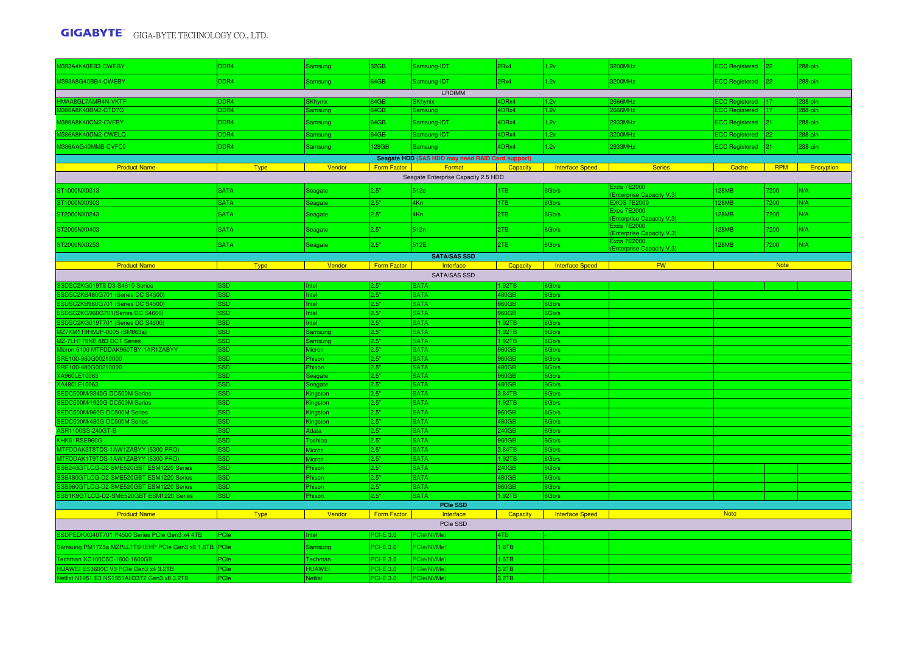| M393A4K40EB3-CWEBY                                   | DDR4                     | Samsung                  | 32GB               | Samsung-IDT                                      | 2Rx4           | 1.2v                   | 3200MHz                                        | ECC Registered 22     |              | 288-pin    |
|------------------------------------------------------|--------------------------|--------------------------|--------------------|--------------------------------------------------|----------------|------------------------|------------------------------------------------|-----------------------|--------------|------------|
| M393A8G40BB4-CWEBY                                   | DDR4                     | Samsung                  | 64GB               | Samsung-IDT                                      | 2Rx4           | 1.2v                   | 3200MHz                                        | ECC Registered 22     |              | 288-pin    |
|                                                      |                          |                          |                    | <b>LRDIMM</b>                                    |                |                        |                                                |                       |              |            |
| <b>IMAA8GL7AMR4N-VKTF</b>                            | DR4                      | SKhynix                  | 64GB               | <b>SKhynix</b>                                   | <b>IDRx4</b>   | 1.2v                   | <b>666MHz</b>                                  | ECC Registered   17   |              | 288-pin    |
| M386A8K40BM2-CTD7Q                                   | DDR <sub>4</sub>         | Samsung                  | 64GB               | Samsung                                          | DRx4           | 1.2v                   | 666MHz                                         | <b>ECC Registered</b> |              | 288-pin    |
| M386A8K40CM2-CVFBY                                   | DDR4                     | Samsung                  | 64GB               | Samsung-IDT                                      | 4DRx4          | 1.2v                   | 2933MHz                                        | ECC Registered 21     |              | 288-pin    |
| M386A8K40DM2-CWELQ                                   | DDR4                     | Samsung                  | 64GB               | Samsung-IDT                                      | 4DRx4          | 1.2v                   | 3200MHz                                        | <b>ECC Registered</b> | 22           | 288-pin    |
| M386AAG40MMB-CVFC0                                   | DDR4                     | Samsung                  | 128GB              | <b>Samsung</b>                                   | 4DRx4          | 1.2v                   | 2933MHz                                        | <b>ECC Registered</b> | $ 21\rangle$ | 288-pin    |
|                                                      |                          |                          |                    | Seagate HDD (SAS HDD may need RAID Card support) |                |                        |                                                |                       |              |            |
| <b>Product Name</b>                                  | <b>Type</b>              | Vendor                   | <b>Form Factor</b> | Format                                           | Capacity       | <b>Interface Speed</b> | <b>Series</b>                                  | Cache                 | <b>RPM</b>   | Encryption |
|                                                      |                          |                          |                    | Seagate Enterprise Capacity 2.5 HDD              |                |                        |                                                |                       |              |            |
| ST1000NX0313                                         | <b>SATA</b>              | Seagate                  | 2.5"               | 512e                                             | TB             | 6Gb/s                  | Exos 7E2000<br><b>Enterprise Capacity V.3)</b> | <b>128MB</b>          | 7200         | N/A        |
| T1000NX0303                                          | <b>SATA</b>              | Seagate                  | 2.5"               | 4Kn                                              | ITB.           | 6Gb/s                  | <b>EXOS 7E2000</b>                             | 128MB                 | 7200         | N/A        |
| ST2000NX0243                                         | <b>SATA</b>              | Seagate                  | 2.5"               | 4Kn                                              | 2TB            | 6Gb/s                  | Exos 7E2000                                    | <b>128MB</b>          | 7200         | N/A        |
|                                                      |                          |                          |                    |                                                  |                |                        | <b>Enterprise Capacity V.3)</b>                |                       |              |            |
| ST2000NX0403                                         | <b>SATA</b>              | Seagate                  | 2.5"               | 512n                                             | 2TB            | 6Gb/s                  | Exos 7E2000<br><b>Enterprise Capacity V.3)</b> | <b>128MB</b>          | 7200         | N/A        |
| ST2000NX0253                                         | <b>SATA</b>              | Seagate                  | 2.5"               | 512E                                             | 2TB            | 6Gb/s                  | Exos 7E2000                                    | <b>128MB</b>          | 7200         | N/A        |
|                                                      |                          |                          |                    | <b>SATA/SAS SSD</b>                              |                |                        | <b>Enterprise Capacity V.3)</b>                |                       |              |            |
| <b>Product Name</b>                                  | <b>Type</b>              | Vendor                   | Form Factor        | Interface                                        | Capacity       | <b>Interface Speed</b> | <b>FW</b>                                      |                       | <b>Note</b>  |            |
|                                                      |                          |                          |                    | <b>SATA/SAS SSD</b>                              |                |                        |                                                |                       |              |            |
| SDSC2KG019T8 D3-S4610 Series                         | SD.                      | ntel                     | 2.5"               | <b>SATA</b>                                      | .92TB          | 6Gb/s                  |                                                |                       |              |            |
| SSDSC2KB480G701 (Series DC S4500)                    | <b>SSD</b>               | Intel                    | 2.5"               | <b>SATA</b>                                      | 480GB          | 6Gb/s                  |                                                |                       |              |            |
| SSDSC2KB960G701 (Series DC S4500)                    | SSD                      | Intel                    | 2.5"               | <b>SATA</b>                                      | 960GB          | 6Gb/s                  |                                                |                       |              |            |
| SDSC2KG960G701 (Series DC S4600)                     | <b>SSD</b>               | Intel                    | 2.5"               | <b>SATA</b>                                      | 960GB          | 6Gb/s                  |                                                |                       |              |            |
| SSDSC2KG019T701 (Series DC S4600)                    | <b>SSD</b>               | ntel                     | 2.5"               | <b>SATA</b>                                      | 1.92TB         | 6Gb/s                  |                                                |                       |              |            |
| MZ7KM1T9HMJP-0005 (SM863a)                           | <b>SD</b>                | <b>Samsung</b>           | 2.5"               | <b>SATA</b>                                      | .92TB          | 6Gb/s                  |                                                |                       |              |            |
| MZ-7LH1T9NE 883 DCT Series                           | <b>SD</b>                | Samsung                  | 2.5"               | <b>SATA</b>                                      | .92TB          | 6Gb/s                  |                                                |                       |              |            |
| Micron 5100 MTFDDAK960TBY-1AR1ZABYY                  | SSD.                     | Micron                   | 2.5"               | <b>SATA</b>                                      | 960GB          | 6Gb/s                  |                                                |                       |              |            |
| SRE100-960G00210000                                  | SSD.                     | Phison                   | 2.5"               | <b>SATA</b>                                      | 960GB          | 6Gb/s                  |                                                |                       |              |            |
| RE100-480G00210000                                   | SSD                      | Phison                   | 2.5"               | <b>SATA</b>                                      | <b>80GB</b>    | 6Gb/s                  |                                                |                       |              |            |
| XA960LE10063                                         | SSD.                     | Seagate                  | 2.5"               | <b>SATA</b>                                      | 960GB          | 6Gb/s                  |                                                |                       |              |            |
| XA480LE10063                                         | SSD                      | Seagate                  | 2.5"               | <b>SATA</b>                                      | 480GB          | 6Gb/s                  |                                                |                       |              |            |
| SEDC500M/3840G DC500M Series                         | <b>SSD</b>               | Kingston                 | 2.5"               | <b>SATA</b>                                      | 3.84TB         | 6Gb/s                  |                                                |                       |              |            |
| EDC500M/1920G DC500M Series                          | SSD.                     | Kingston                 | 2.5"<br>2.5"       | <b>SATA</b><br><b>SATA</b>                       | .92TB          | 6Gb/s                  |                                                |                       |              |            |
| SEDC500M/960G DC500M Series                          | <b>SSD</b><br><b>SSD</b> | Kingston                 | 2.5"               | <b>SATA</b>                                      | 960GB          | 6Gb/s                  |                                                |                       |              |            |
| SEDC500M/480G DC500M Series<br>ASR1100SS-240GT-B     | <b>SSD</b>               | <b>Kingston</b><br>Adata | 2.5"               | <b>SATA</b>                                      | 480GB<br>240GB | 6Gb/s<br>6Gb/s         |                                                |                       |              |            |
| KHK61RSE960G                                         | <b>SSD</b>               | <b>Toshiba</b>           | 2.5"               | <b>SATA</b>                                      | 960GB          | 6Gb/s                  |                                                |                       |              |            |
| MTFDDAK3T8TDS-1AW1ZABYY (5300 PRO)                   | <b>SSD</b>               | Micron                   | 2.5"               | <b>SATA</b>                                      | 3.84TB         | 6Gb/s                  |                                                |                       |              |            |
| MTFDDAK1T9TDS-1AW1ZABYY (5300 PRO)                   | <b>SSD</b>               | <i><b>Aicron</b></i>     | 2.5"               | <b>SATA</b>                                      | .92TB          | 6Gb/s                  |                                                |                       |              |            |
| SB240GTLCG-D2-SME520GBT ESM1220 Series               | <b>SSD</b>               | Phison                   | 2.5"               | <b>SATA</b>                                      | 240GB          | 6Gb/s                  |                                                |                       |              |            |
| SB480GTLCG-D2-SME520GBT ESM1220 Series               | <b>SSD</b>               | Phison                   | 2.5"               | <b>SATA</b>                                      | 480GB          | 6Gb/s                  |                                                |                       |              |            |
| SB960GTLCG-D2-SME520GBT ESM1220 Series               | <b>SSD</b>               | Phison                   | 2.5"               | <b>SATA</b>                                      | 960GB          | 6Gb/s                  |                                                |                       |              |            |
| SB1K9GTLCG-D2-SME520GBT ESM1220 Series               | <b>SSD</b>               | Phison                   | 2.5"               | <b>SATA</b>                                      | .92TB          | 6Gb/s                  |                                                |                       |              |            |
|                                                      |                          |                          |                    | <b>PCIe SSD</b>                                  |                |                        |                                                |                       |              |            |
| <b>Product Name</b>                                  | <b>Type</b>              | Vendor                   | Form Factor        | Interface                                        | Capacity       | <b>Interface Speed</b> |                                                | <b>Note</b>           |              |            |
|                                                      |                          |                          |                    | PCIe SSD                                         |                |                        |                                                |                       |              |            |
| SDPEDKX040T701 P4500 Series PCIe Gen3 x4 4TB         | PCle                     | ntel                     | <b>PCI-E 3.0</b>   | PCIe(NVMe)                                       | 4TB            |                        |                                                |                       |              |            |
| Samsung PM1725a MZPLL1T6HEHP PCIe Gen3 x8 1.6TB PCIe |                          | Samsung                  | <b>PCI-E 3.0</b>   | PCle(NVMe)                                       | 1.6TB          |                        |                                                |                       |              |            |
| Fechman XC100C5C-1600 1600GB                         | PCle                     | Techman                  | <b>PCI-E 3.0</b>   | PCIe(NVMe)                                       | .6TB           |                        |                                                |                       |              |            |
| HUAWEI ES3600C V3 PCIe Gen3 x4 3.2TB                 | PCle                     | <b>HUAWEI</b>            | <b>PCI-E 3.0</b>   | PCIe(NVMe)                                       | 3.2TB          |                        |                                                |                       |              |            |
| Netlist N1951 E3 NS1951AH33T2 Gen3 x8 3.2TB          | PCle                     | <b>Netlist</b>           | <b>PCI-E 3.0</b>   | PCle(NVMe)                                       | 3.2TB          |                        |                                                |                       |              |            |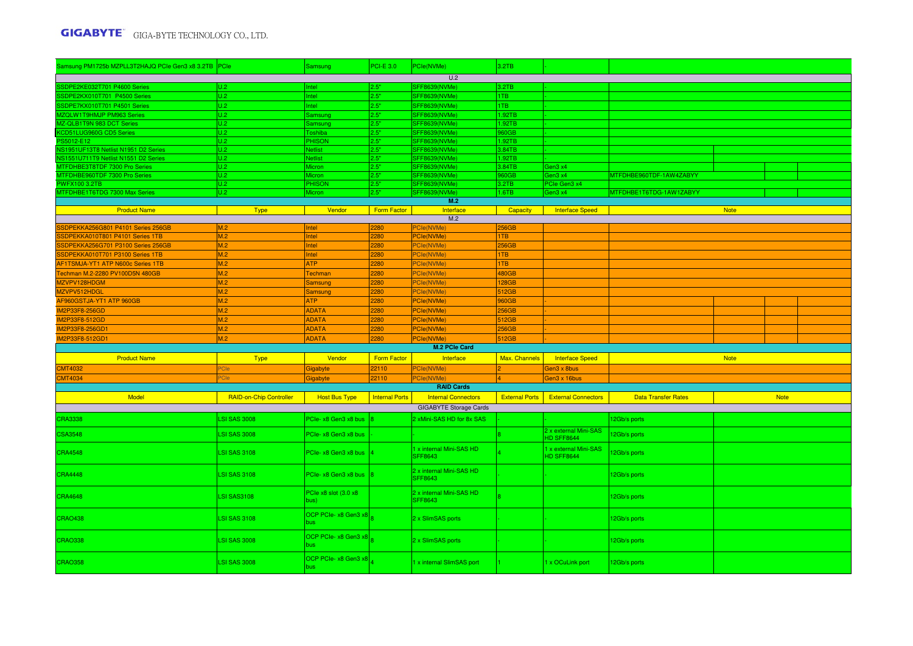| Samsung PM1725b MZPLL3T2HAJQ PCIe Gen3 x8 3.2TB PCIe |                                | Samsung                                  | <b>PCI-E 3.0</b>      | PCle(NVMe)                                 | 3.2TB                 |                                            |                            |             |             |  |
|------------------------------------------------------|--------------------------------|------------------------------------------|-----------------------|--------------------------------------------|-----------------------|--------------------------------------------|----------------------------|-------------|-------------|--|
|                                                      |                                |                                          |                       | U.2                                        |                       |                                            |                            |             |             |  |
| SSDPE2KE032T701 P4600 Series                         | U.2                            | ntel                                     | 2.5"                  | SFF8639(NVMe)                              | 3.2TB                 |                                            |                            |             |             |  |
| SSDPE2KX010T701 P4500 Series                         | U.2                            | Intel                                    | 2.5"                  | SFF8639(NVMe)                              | ITB.                  |                                            |                            |             |             |  |
| SDPE7KX010T701 P4501 Series                          | U.2                            | ntel                                     | 2.5"                  | SFF8639(NVMe)                              | 1TB                   |                                            |                            |             |             |  |
| <b>MZQLW1T9HMJP PM963 Series</b>                     | U.2                            | Samsung                                  | 2.5"                  | SFF8639(NVMe)                              | .92TB                 |                                            |                            |             |             |  |
| MZ-QLB1T9N 983 DCT Series                            | U.2                            | Samsung                                  | 2.5"                  | SFF8639(NVMe)                              | .92TB                 |                                            |                            |             |             |  |
| CD51LUG960G CD5 Series                               | U.2                            | oshiba                                   | 2.5"                  | SFF8639(NVMe)                              | 60GB                  |                                            |                            |             |             |  |
| S5012-E12                                            | U.2                            | <b>PHISON</b>                            | 2.5"                  | SFF8639(NVMe)                              | .92TB                 |                                            |                            |             |             |  |
| NS1951UF13T8 Netlist N1951 D2 Series                 | U.2                            | <b>Netlist</b>                           | 2.5"                  | SFF8639(NVMe)                              | 3.84TB                |                                            |                            |             |             |  |
| VS1551U711T9 Netlist N1551 D2 Series                 | U.2                            | Vetlist                                  | 2.5"                  | SFF8639(NVMe)                              | .92TB                 |                                            |                            |             |             |  |
| MTFDHBE3T8TDF 7300 Pro Series                        | U.2                            | Micron                                   | 2.5"                  | <b>SFF8639(NVMe)</b>                       | .84TB                 | Gen3 x4                                    |                            |             |             |  |
| MTFDHBE960TDF 7300 Pro Series                        | U.2                            | Micron                                   | 2.5"                  | SFF8639(NVMe)                              | 060GB                 | Gen3 x4                                    | MTFDHBE960TDF-1AW4ZABYY    |             |             |  |
| <b>PWFX100 3.2TB</b>                                 | U.2                            | <b>PHISON</b>                            | 2.5"                  | SFF8639(NVMe)                              | 3.2TB                 | PCIe Gen3 x4                               |                            |             |             |  |
| MTFDHBE1T6TDG 7300 Max Series                        | U.2                            | <b>Micron</b>                            | 2.5"                  | <b>SFF8639(NVMe)</b><br>M.2                | $-6T$ B               | Gen3 x4                                    | MTFDHBE1T6TDG-1AW1ZABYY    |             |             |  |
| <b>Product Name</b>                                  | <b>Type</b>                    | Vendor                                   | <b>Form Factor</b>    | Interface                                  | Capacity              |                                            |                            | <b>Note</b> |             |  |
|                                                      |                                |                                          |                       | M.2                                        |                       | Interface Speed                            |                            |             |             |  |
| SDPEKKA256G801 P4101 Series 256GB                    | M.2                            | Intel                                    | 2280                  | PCIe(NVMe)                                 | 256GB                 |                                            |                            |             |             |  |
| SDPEKKA010T801 P4101 Series 1TB                      | M.2                            | Intel                                    | 2280                  | PCle(NVMe)                                 | 1TB                   |                                            |                            |             |             |  |
| SDPEKKA256G701 P3100 Series 256GB                    | M.2                            | Intel                                    | 2280                  | <sup>P</sup> Cle(NVMe)                     | 256GB                 |                                            |                            |             |             |  |
| SDPEKKA010T701 P3100 Series 1TB                      | M.2                            | Intel                                    | 2280                  | <sup>P</sup> Cle(NVMe)                     | <b>TB</b>             |                                            |                            |             |             |  |
| AF1TSMJA-YT1 ATP N600c Series 1TB                    | M.2                            | <b>ATP</b>                               | 2280                  | PCIe(NVMe)                                 | 1TB                   |                                            |                            |             |             |  |
| Techman M.2-2280 PV100D5N 480GB                      | M.2                            | Techman                                  | 2280                  | <sup>P</sup> Cle(NVMe)                     | 480GB                 |                                            |                            |             |             |  |
| MZVPV128HDGM                                         | M.2                            | <b>Samsung</b>                           | 2280                  | PCIe(NVMe)                                 | 128GB                 |                                            |                            |             |             |  |
| MZVPV512HDGL                                         | M.2                            | Samsung                                  | 2280                  | PCIe(NVMe)                                 | 512GB                 |                                            |                            |             |             |  |
| AF960GSTJA-YT1 ATP 960GB                             | M.2                            | <b>ATP</b>                               | 2280                  | PCle(NVMe)                                 | 960GB                 |                                            |                            |             |             |  |
| <b>IM2P33F8-256GD</b>                                | M.2                            | <b>ADATA</b>                             | 2280                  | PCle(NVMe)                                 | 256GB                 |                                            |                            |             |             |  |
| IM2P33F8-512GD                                       | M.2                            | <b>ADATA</b>                             |                       | PCle(NVMe)                                 | 512GB                 |                                            |                            |             |             |  |
|                                                      |                                |                                          | 2280                  |                                            |                       |                                            |                            |             |             |  |
| IM2P33F8-256GD1<br>IM2P33F8-512GD1                   | M.2<br>M.2                     | <b>ADATA</b><br><b>ADATA</b>             | 2280<br>2280          | PCle(NVMe)<br>PCle(NVMe)                   | 256GB<br>512GB        |                                            |                            |             |             |  |
|                                                      |                                |                                          |                       | M.2 PCIe Card                              |                       |                                            |                            |             |             |  |
|                                                      |                                |                                          |                       |                                            |                       |                                            |                            |             |             |  |
| <b>Product Name</b>                                  | <b>Type</b>                    | Vendor                                   | Form Factor           | Interface                                  | Max. Channels         | <b>Interface Speed</b>                     |                            | <b>Note</b> |             |  |
| <b>CMT4032</b>                                       | Cle                            | Gigabyte                                 | 22110                 | PCIe(NVMe)                                 |                       | Gen3 x 8bus                                |                            |             |             |  |
| <b>MT4034</b>                                        |                                | <b>Gigabyte</b>                          | 22110                 | <b>Cle(NVMe</b>                            |                       | Gen3 x 16bus                               |                            |             |             |  |
|                                                      |                                |                                          |                       | <b>RAID Cards</b>                          |                       |                                            |                            |             |             |  |
| Model                                                | <b>RAID-on-Chip Controller</b> | <b>Host Bus Type</b>                     | <b>Internal Ports</b> | <b>Internal Connectors</b>                 | <b>External Ports</b> | <b>External Connectors</b>                 | <b>Data Transfer Rates</b> |             | <b>Note</b> |  |
|                                                      |                                |                                          |                       | <b>GIGABYTE Storage Cards</b>              |                       |                                            |                            |             |             |  |
| <b>CRA3338</b>                                       | <b>LSI SAS 3008</b>            | PCIe- x8 Gen3 x8 bus                     |                       | 2 xMini-SAS HD for 8x SAS                  |                       |                                            | 12Gb/s ports               |             |             |  |
| <b>CSA3548</b>                                       | <b>LSI SAS 3008</b>            | PCIe- x8 Gen3 x8 bus                     |                       |                                            |                       | 2 x external Mini-SAS<br><b>HD SFF8644</b> | 2Gb/s ports                |             |             |  |
| <b>CRA4548</b>                                       | <b>LSI SAS 3108</b>            | PCIe- $x8$ Gen3 $x8$ bus $\vert 4 \vert$ |                       | 1 x internal Mini-SAS HD<br><b>SFF8643</b> |                       | 1 x external Mini-SAS<br><b>HD SFF8644</b> | 12Gb/s ports               |             |             |  |
| <b>CRA4448</b>                                       | <b>LSI SAS 3108</b>            | PCIe- $x8$ Gen3 $x8$ bus $ 8 $           |                       | 2 x internal Mini-SAS HD<br>SFF8643        |                       |                                            | 12Gb/s ports               |             |             |  |
| <b>CRA4648</b>                                       | <b>LSI SAS3108</b>             | PCIe x8 slot (3.0 x8<br>bus)             |                       | 2 x internal Mini-SAS HD<br><b>SFF8643</b> |                       |                                            | 12Gb/s ports               |             |             |  |
| <b>CRAO438</b>                                       | <b>LSI SAS 3108</b>            | OCP PCIe- x8 Gen3 x8<br>bus              |                       | 2 x SlimSAS ports                          |                       |                                            | 12Gb/s ports               |             |             |  |
| <b>CRAO338</b>                                       | <b>LSI SAS 3008</b>            | OCP PCIe- $x8$ Gen3 $x8$                 |                       | 2 x SlimSAS ports                          |                       |                                            | 12Gb/s ports               |             |             |  |
| <b>CRAO358</b>                                       | <b>LSI SAS 3008</b>            | OCP PCIe- x8 Gen3 x8<br>bus.             |                       | 1 x internal SlimSAS port                  |                       | 1 x OCuLink port                           | 12Gb/s ports               |             |             |  |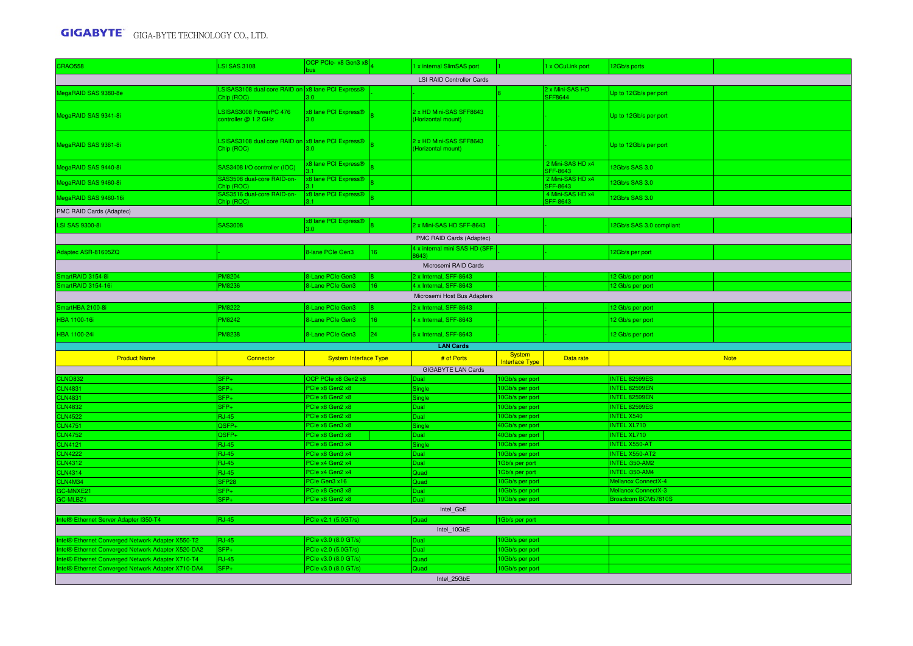| <b>CRAO558</b>                                     | <b>LSI SAS 3108</b>                                        | OCP PCIe-x8 Gen3 x8                      |                 | 1 x internal SlimSAS port                        |                                        | x OCuLink port               | 12Gb/s ports                                 |             |  |  |  |  |
|----------------------------------------------------|------------------------------------------------------------|------------------------------------------|-----------------|--------------------------------------------------|----------------------------------------|------------------------------|----------------------------------------------|-------------|--|--|--|--|
|                                                    |                                                            |                                          |                 | <b>LSI RAID Controller Cards</b>                 |                                        |                              |                                              |             |  |  |  |  |
| MegaRAID SAS 9380-8e                               | SISAS3108 dual core RAID on x8 lane PCI Express®           |                                          |                 |                                                  |                                        | x Mini-SAS HD                | Up to 12Gb/s per port                        |             |  |  |  |  |
|                                                    | Chip (ROC)                                                 | 30                                       |                 |                                                  |                                        | SFF8644                      |                                              |             |  |  |  |  |
| MegaRAID SAS 9341-8i                               | LSISAS3008 PowerPC 476<br>controller @ 1.2 GHz             | x8 lane PCI Express®<br>3.0 <sub>1</sub> |                 | 2 x HD Mini-SAS SFF8643<br>(Horizontal mount)    |                                        |                              | Up to 12Gb/s per port                        |             |  |  |  |  |
|                                                    |                                                            |                                          |                 |                                                  |                                        |                              |                                              |             |  |  |  |  |
|                                                    | LSISAS3108 dual core RAID on x8 lane PCI Express®          |                                          |                 | 2 x HD Mini-SAS SFF8643                          |                                        |                              |                                              |             |  |  |  |  |
| MegaRAID SAS 9361-8i                               | Chip (ROC)                                                 | 3 U.                                     |                 | (Horizontal mount)                               |                                        |                              | Up to 12Gb/s per port                        |             |  |  |  |  |
|                                                    |                                                            | x8 lane PCI Express®                     |                 |                                                  |                                        | 2 Mini-SAS HD x4             |                                              |             |  |  |  |  |
| MegaRAID SAS 9440-8i                               | SAS3408 I/O controller (IOC)<br>SAS3508 dual-core RAID-on- | x8 lane PCI Express®                     |                 |                                                  |                                        | SFF-8643<br>2 Mini-SAS HD x4 | 2Gb/s SAS 3.0                                |             |  |  |  |  |
| MegaRAID SAS 9460-8i                               | Chip (ROC)                                                 |                                          |                 |                                                  |                                        | SFF-8643                     | 2Gb/s SAS 3.0                                |             |  |  |  |  |
| MegaRAID SAS 9460-16i                              | SAS3516 dual-core RAID-on-<br>Chip (ROC)                   | x8 lane PCI Express®<br>31               |                 |                                                  |                                        | 4 Mini-SAS HD x4<br>SFF-8643 | 2Gb/s SAS 3.0                                |             |  |  |  |  |
| PMC RAID Cards (Adaptec)                           |                                                            |                                          |                 |                                                  |                                        |                              |                                              |             |  |  |  |  |
| <b>LSI SAS 9300-8i</b>                             | <b>SAS3008</b>                                             | x8 lane PCI Express®                     |                 | 2 x Mini-SAS HD SFF-8643                         |                                        |                              | 12Gb/s SAS 3.0 compliant                     |             |  |  |  |  |
|                                                    |                                                            | RΩ                                       |                 | PMC RAID Cards (Adaptec)                         |                                        |                              |                                              |             |  |  |  |  |
|                                                    |                                                            |                                          |                 | 4 x internal mini SAS HD (SFF                    |                                        |                              |                                              |             |  |  |  |  |
| Adaptec ASR-81605ZQ                                |                                                            | 8-lane PCIe Gen3                         | 16              | 643)                                             |                                        |                              | 12Gb/s per port                              |             |  |  |  |  |
|                                                    |                                                            |                                          |                 | Microsemi RAID Cards                             |                                        |                              |                                              |             |  |  |  |  |
| martRAID 3154-8i<br>SmartRAID 3154-16              | <b>PM8204</b><br><b>PM8236</b>                             | 8-Lane PCIe Gen3<br>8-Lane PCIe Gen3     | 16              | 2 x Internal, SFF-8643<br>4 x Internal, SFF-8643 |                                        |                              | 12 Gb/s per port<br>12 Gb/s per port         |             |  |  |  |  |
|                                                    |                                                            |                                          |                 |                                                  |                                        |                              |                                              |             |  |  |  |  |
|                                                    |                                                            |                                          |                 | Microsemi Host Bus Adapters                      |                                        |                              |                                              |             |  |  |  |  |
| SmartHBA 2100-8i                                   | <b>PM8222</b>                                              | 8-Lane PCIe Gen3                         |                 | 2 x Internal, SFF-8643                           |                                        |                              | 12 Gb/s per port                             |             |  |  |  |  |
| <b>HBA 1100-16i</b>                                | <b>PM8242</b>                                              | 8-Lane PCIe Gen3                         | 16              | 4 x Internal, SFF-8643                           |                                        |                              | 12 Gb/s per port                             |             |  |  |  |  |
| HBA 1100-24i                                       | <b>PM8238</b>                                              | 8-Lane PCIe Gen3                         | 24 <sup>°</sup> | 6 x Internal, SFF-8643                           |                                        |                              | 12 Gb/s per port                             |             |  |  |  |  |
|                                                    |                                                            |                                          |                 | <b>LAN Cards</b>                                 |                                        |                              |                                              |             |  |  |  |  |
| <b>Product Name</b>                                | Connector                                                  | <b>System Interface Type</b>             |                 | # of Ports                                       | <b>System</b><br><b>Interface Type</b> | Data rate                    |                                              | <b>Note</b> |  |  |  |  |
|                                                    |                                                            |                                          |                 | <b>GIGABYTE LAN Cards</b>                        |                                        |                              |                                              |             |  |  |  |  |
| <b>CLNO832</b>                                     | SFP+                                                       | OCP PCIe x8 Gen2 x8                      |                 | Dual                                             | 10Gb/s per port                        |                              | INTEL 82599ES                                |             |  |  |  |  |
| <b>CLN4831</b>                                     | SFP+                                                       | PCIe x8 Gen2 x8                          |                 | Single                                           | 0Gb/s per port                         |                              | <b>INTEL 82599EN</b>                         |             |  |  |  |  |
| <b>CLN4831</b>                                     | SFP+                                                       | PCIe x8 Gen2 x8<br>PCIe x8 Gen2 x8       |                 | Single                                           | 0Gb/s per port                         |                              | <b>INTEL 82599EN</b><br><b>INTEL 82599ES</b> |             |  |  |  |  |
| <b>CLN4832</b><br><b>CLN4522</b>                   | SFP+<br><b>RJ-45</b>                                       | PCIe x8 Gen2 x8                          |                 | Dual<br><b>Dual</b>                              | 10Gb/s per port<br>0Gb/s per port      |                              | <b>INTEL X540</b>                            |             |  |  |  |  |
| <b>CLN4751</b>                                     | QSFP+                                                      | PCIe x8 Gen3 x8                          |                 | Single                                           | 40Gb/s per port                        |                              | NTEL XL710                                   |             |  |  |  |  |
| <b>CLN4752</b>                                     | QSFP+                                                      | PCIe x8 Gen3 x8                          |                 | Dual                                             | 40Gb/s per port                        |                              | <b>INTEL XL710</b>                           |             |  |  |  |  |
| <b>CLN4121</b>                                     | <b>RJ-45</b>                                               | PCIe x8 Gen3 x4                          |                 | Single                                           | 0Gb/s per port                         |                              | <b>NTEL X550-AT</b>                          |             |  |  |  |  |
| <b>CLN4222</b>                                     | <b>RJ-45</b>                                               | PCIe x8 Gen3 x4                          |                 | Dual                                             | 0Gb/s per port                         |                              | NTEL X550-AT2                                |             |  |  |  |  |
| <b>CLN4312</b>                                     | <b>RJ-45</b>                                               | PCIe x4 Gen2 x4                          |                 | Dual                                             | 1Gb/s per port                         |                              | <b>INTEL i350-AM2</b>                        |             |  |  |  |  |
| <b>CLN4314</b>                                     | <b>RJ-45</b>                                               | PCIe x4 Gen2 x4                          |                 | Quad                                             | Gb/s per port                          |                              | NTEL i350-AM4                                |             |  |  |  |  |
| CLN4M34                                            | SFP <sub>28</sub>                                          | PCIe Gen3 x16                            |                 | Quad                                             | 0Gb/s per port                         |                              | Mellanox ConnectX-4                          |             |  |  |  |  |
| GC-MNXE21                                          | SFP+                                                       | PCIe x8 Gen3 x8                          |                 | Dual                                             | 0Gb/s per port                         |                              | <b>Mellanox ConnectX-3</b>                   |             |  |  |  |  |
| GC-MLBZ1                                           | $SFP+$                                                     | PCIe x8 Gen2 x8                          |                 | Dual                                             | 0Gb/s per port                         |                              | Broadcom BCM57810S                           |             |  |  |  |  |
|                                                    |                                                            |                                          |                 | Intel_GbE                                        |                                        |                              |                                              |             |  |  |  |  |
| ntel® Ethernet Server Adapter I350-T4              | <b>RJ-45</b>                                               | PCIe v2.1 (5.0GT/s)                      |                 | Quad                                             | 1Gb/s per port                         |                              |                                              |             |  |  |  |  |
|                                                    |                                                            |                                          |                 | Intel_10GbE                                      |                                        |                              |                                              |             |  |  |  |  |
| ntel® Ethernet Converged Network Adapter X550-T2   | <b>RJ-45</b>                                               | PCIe v3.0 (8.0 GT/s)                     |                 | Dual                                             | 10Gb/s per port                        |                              |                                              |             |  |  |  |  |
| Intel® Ethernet Converged Network Adapter X520-DA2 | SFP+                                                       | PCIe v2.0 (5.0GT/s)                      |                 | Dual                                             | 0Gb/s per port                         |                              |                                              |             |  |  |  |  |
| Intel® Ethernet Converged Network Adapter X710-T4  | <b>RJ-45</b>                                               | PCIe v3.0 (8.0 GT/s)                     |                 | Quad                                             | 10Gb/s per port                        |                              |                                              |             |  |  |  |  |
| tel® Ethernet Converged Network Adapter X710-DA4   | SFP+                                                       | PCIe v3.0 (8.0 GT/s)                     |                 | Quad                                             | 10Gb/s per port                        |                              |                                              |             |  |  |  |  |
|                                                    |                                                            |                                          |                 | Intel 25GbE                                      |                                        |                              |                                              |             |  |  |  |  |